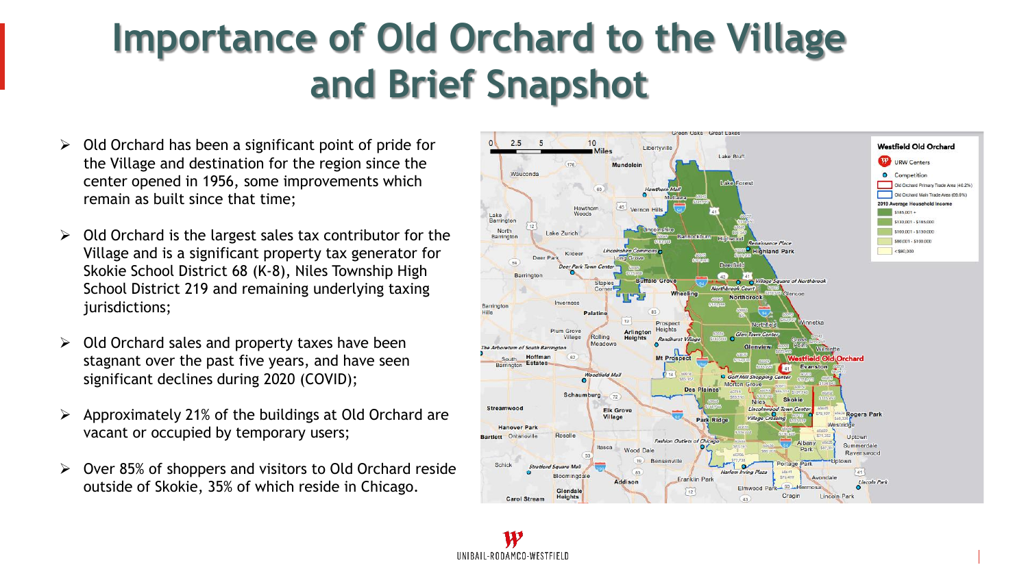## **Importance of Old Orchard to the Village and Brief Snapshot**

- $\triangleright$  Old Orchard has been a significant point of pride for the Village and destination for the region since the center opened in 1956, some improvements which remain as built since that time;
- ➢ Old Orchard is the largest sales tax contributor for the Village and is a significant property tax generator for Skokie School District 68 (K-8), Niles Township High School District 219 and remaining underlying taxing jurisdictions;
- $\geq$  Old Orchard sales and property taxes have been stagnant over the past five years, and have seen significant declines during 2020 (COVID);
- $\triangleright$  Approximately 21% of the buildings at Old Orchard are vacant or occupied by temporary users;
- ➢ Over 85% of shoppers and visitors to Old Orchard reside outside of Skokie, 35% of which reside in Chicago.

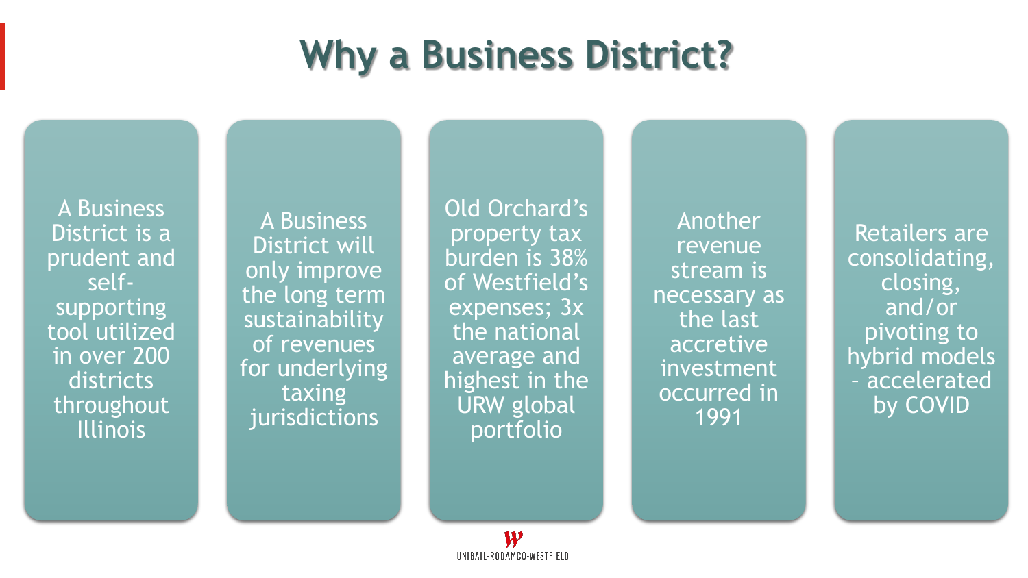# **Why a Business District?**

A Business District is a prudent and selfsupporting tool utilized in over 200 districts throughout Illinois

A Business District will only improve the long term sustainability of revenues for underlying taxing jurisdictions

Old Orchard's property tax burden is 38% of Westfield's expenses; 3x the national average and highest in the URW global portfolio

Another revenue stream is necessary as the last accretive investment occurred in 1991

Retailers are consolidating, closing, and/or pivoting to hybrid models – accelerated by COVID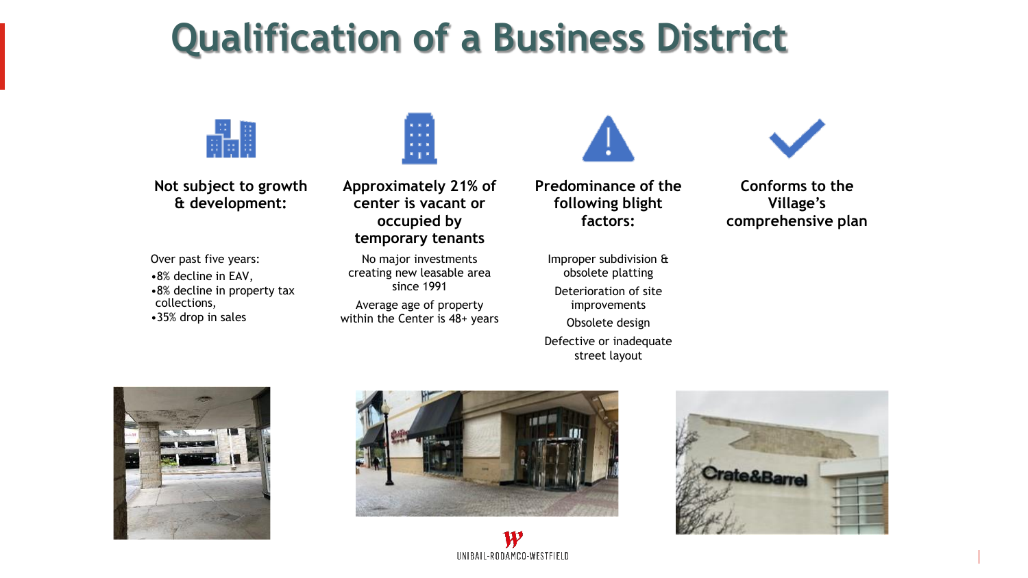## **Qualification of a Business District**



**Not subject to growth & development:**

Over past five years: •8% decline in EAV, •8% decline in property tax collections, •35% drop in sales



**Approximately 21% of center is vacant or occupied by temporary tenants**

No major investments creating new leasable area since 1991 Average age of property within the Center is 48+ years **Predominance of the following blight factors:**

Improper subdivision & obsolete platting Deterioration of site improvements Obsolete design Defective or inadequate street layout



**Conforms to the Village's comprehensive plan** 







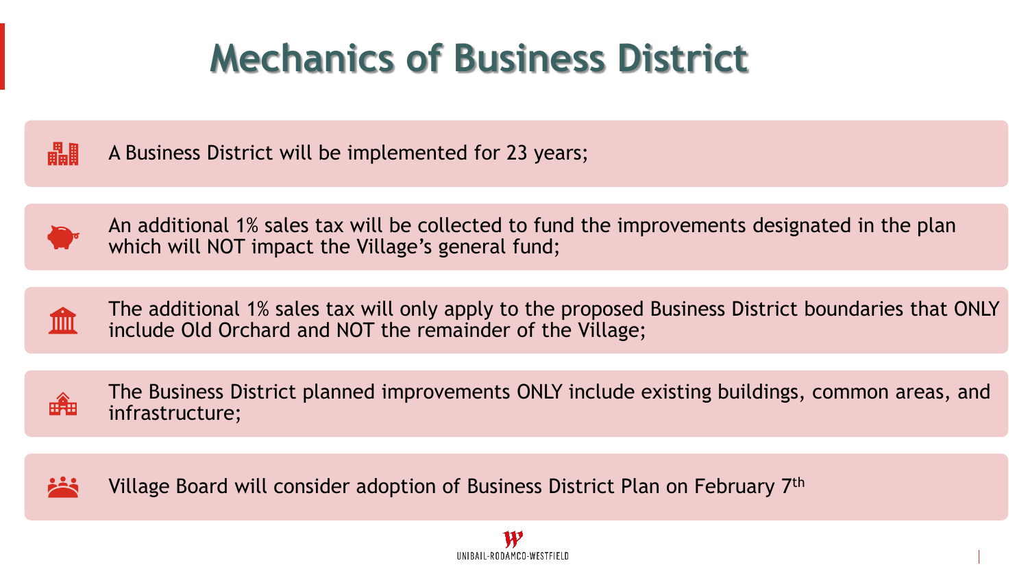# **Mechanics of Business District**



A Business District will be implemented for 23 years;



An additional 1% sales tax will be collected to fund the improvements designated in the plan which will NOT impact the Village's general fund;



The additional 1% sales tax will only apply to the proposed Business District boundaries that ONLY include Old Orchard and NOT the remainder of the Village;



The Business District planned improvements ONLY include existing buildings, common areas, and infrastructure;

Village Board will consider adoption of Business District Plan on February 7th